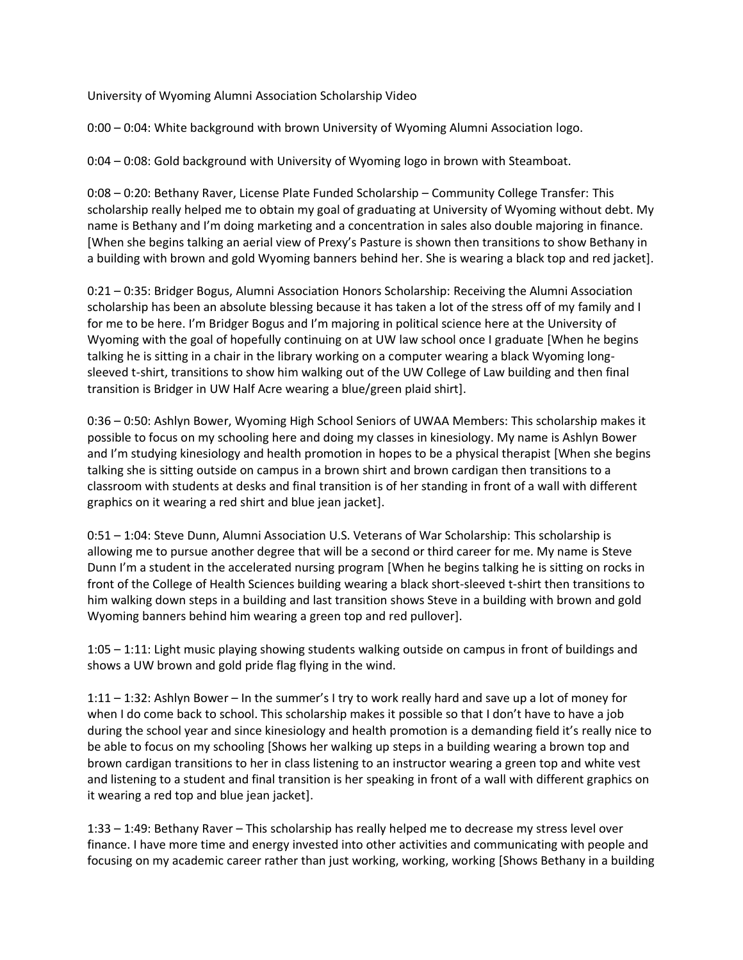University of Wyoming Alumni Association Scholarship Video

0:00 – 0:04: White background with brown University of Wyoming Alumni Association logo.

0:04 – 0:08: Gold background with University of Wyoming logo in brown with Steamboat.

0:08 – 0:20: Bethany Raver, License Plate Funded Scholarship – Community College Transfer: This scholarship really helped me to obtain my goal of graduating at University of Wyoming without debt. My name is Bethany and I'm doing marketing and a concentration in sales also double majoring in finance. [When she begins talking an aerial view of Prexy's Pasture is shown then transitions to show Bethany in a building with brown and gold Wyoming banners behind her. She is wearing a black top and red jacket].

0:21 – 0:35: Bridger Bogus, Alumni Association Honors Scholarship: Receiving the Alumni Association scholarship has been an absolute blessing because it has taken a lot of the stress off of my family and I for me to be here. I'm Bridger Bogus and I'm majoring in political science here at the University of Wyoming with the goal of hopefully continuing on at UW law school once I graduate [When he begins talking he is sitting in a chair in the library working on a computer wearing a black Wyoming longsleeved t-shirt, transitions to show him walking out of the UW College of Law building and then final transition is Bridger in UW Half Acre wearing a blue/green plaid shirt].

0:36 – 0:50: Ashlyn Bower, Wyoming High School Seniors of UWAA Members: This scholarship makes it possible to focus on my schooling here and doing my classes in kinesiology. My name is Ashlyn Bower and I'm studying kinesiology and health promotion in hopes to be a physical therapist [When she begins talking she is sitting outside on campus in a brown shirt and brown cardigan then transitions to a classroom with students at desks and final transition is of her standing in front of a wall with different graphics on it wearing a red shirt and blue jean jacket].

0:51 – 1:04: Steve Dunn, Alumni Association U.S. Veterans of War Scholarship: This scholarship is allowing me to pursue another degree that will be a second or third career for me. My name is Steve Dunn I'm a student in the accelerated nursing program [When he begins talking he is sitting on rocks in front of the College of Health Sciences building wearing a black short-sleeved t-shirt then transitions to him walking down steps in a building and last transition shows Steve in a building with brown and gold Wyoming banners behind him wearing a green top and red pullover].

1:05 – 1:11: Light music playing showing students walking outside on campus in front of buildings and shows a UW brown and gold pride flag flying in the wind.

 and listening to a student and final transition is her speaking in front of a wall with different graphics on 1:11 – 1:32: Ashlyn Bower – In the summer's I try to work really hard and save up a lot of money for when I do come back to school. This scholarship makes it possible so that I don't have to have a job during the school year and since kinesiology and health promotion is a demanding field it's really nice to be able to focus on my schooling [Shows her walking up steps in a building wearing a brown top and brown cardigan transitions to her in class listening to an instructor wearing a green top and white vest it wearing a red top and blue jean jacket].

1:33 – 1:49: Bethany Raver – This scholarship has really helped me to decrease my stress level over finance. I have more time and energy invested into other activities and communicating with people and focusing on my academic career rather than just working, working, working [Shows Bethany in a building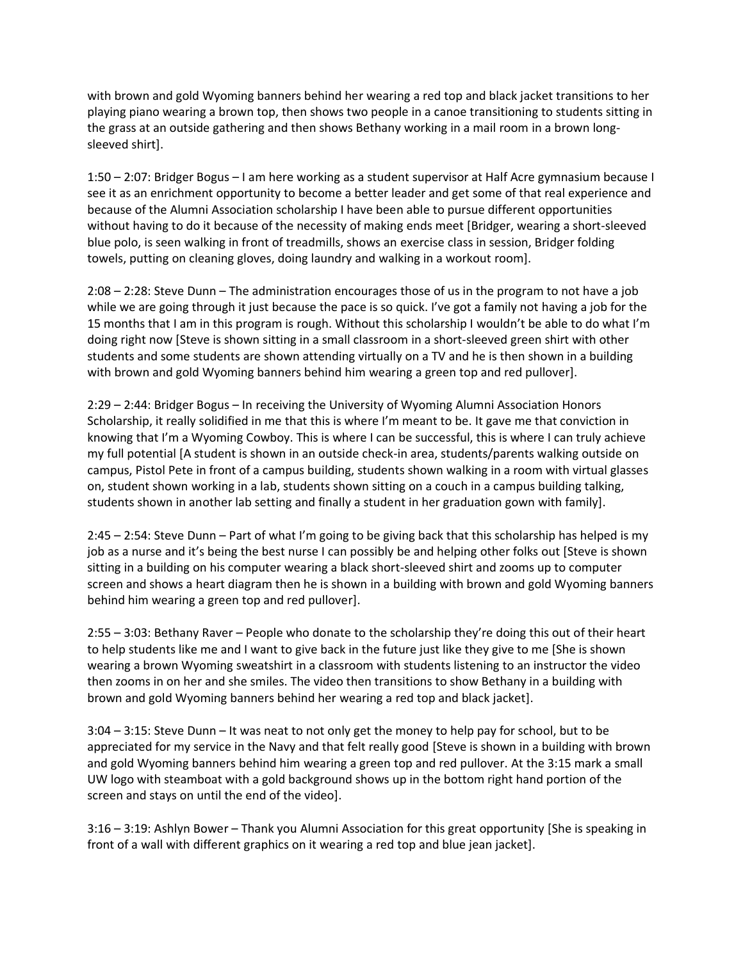with brown and gold Wyoming banners behind her wearing a red top and black jacket transitions to her playing piano wearing a brown top, then shows two people in a canoe transitioning to students sitting in the grass at an outside gathering and then shows Bethany working in a mail room in a brown longsleeved shirt].

1:50 – 2:07: Bridger Bogus – I am here working as a student supervisor at Half Acre gymnasium because I see it as an enrichment opportunity to become a better leader and get some of that real experience and because of the Alumni Association scholarship I have been able to pursue different opportunities without having to do it because of the necessity of making ends meet [Bridger, wearing a short-sleeved blue polo, is seen walking in front of treadmills, shows an exercise class in session, Bridger folding towels, putting on cleaning gloves, doing laundry and walking in a workout room].

2:08 – 2:28: Steve Dunn – The administration encourages those of us in the program to not have a job while we are going through it just because the pace is so quick. I've got a family not having a job for the 15 months that I am in this program is rough. Without this scholarship I wouldn't be able to do what I'm doing right now [Steve is shown sitting in a small classroom in a short-sleeved green shirt with other students and some students are shown attending virtually on a TV and he is then shown in a building with brown and gold Wyoming banners behind him wearing a green top and red pullover].

2:29 – 2:44: Bridger Bogus – In receiving the University of Wyoming Alumni Association Honors Scholarship, it really solidified in me that this is where I'm meant to be. It gave me that conviction in knowing that I'm a Wyoming Cowboy. This is where I can be successful, this is where I can truly achieve my full potential [A student is shown in an outside check-in area, students/parents walking outside on campus, Pistol Pete in front of a campus building, students shown walking in a room with virtual glasses on, student shown working in a lab, students shown sitting on a couch in a campus building talking, students shown in another lab setting and finally a student in her graduation gown with family].

2:45 – 2:54: Steve Dunn – Part of what I'm going to be giving back that this scholarship has helped is my job as a nurse and it's being the best nurse I can possibly be and helping other folks out [Steve is shown sitting in a building on his computer wearing a black short-sleeved shirt and zooms up to computer screen and shows a heart diagram then he is shown in a building with brown and gold Wyoming banners behind him wearing a green top and red pullover].

2:55 – 3:03: Bethany Raver – People who donate to the scholarship they're doing this out of their heart to help students like me and I want to give back in the future just like they give to me [She is shown wearing a brown Wyoming sweatshirt in a classroom with students listening to an instructor the video then zooms in on her and she smiles. The video then transitions to show Bethany in a building with brown and gold Wyoming banners behind her wearing a red top and black jacket].

3:04 – 3:15: Steve Dunn – It was neat to not only get the money to help pay for school, but to be appreciated for my service in the Navy and that felt really good [Steve is shown in a building with brown and gold Wyoming banners behind him wearing a green top and red pullover. At the 3:15 mark a small UW logo with steamboat with a gold background shows up in the bottom right hand portion of the screen and stays on until the end of the video].

3:16 – 3:19: Ashlyn Bower – Thank you Alumni Association for this great opportunity [She is speaking in front of a wall with different graphics on it wearing a red top and blue jean jacket].